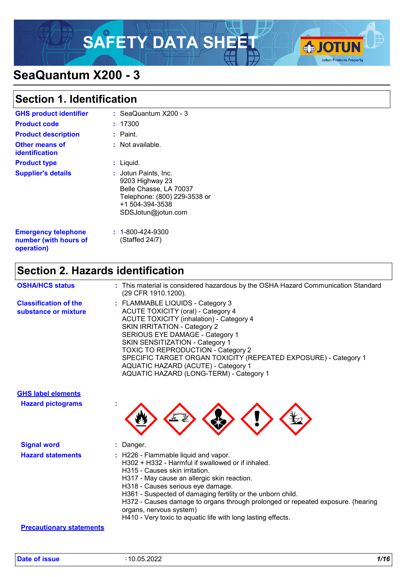# SAFETY DATA SHEET **SAFETY**



# **SeaQuantum X200 - 3**

### **Section 1. Identification**

| <b>GHS product identifier</b>                                     | : SeaQuantum $X200 - 3$                                                                                                                    |
|-------------------------------------------------------------------|--------------------------------------------------------------------------------------------------------------------------------------------|
| <b>Product code</b>                                               | : 17300                                                                                                                                    |
| <b>Product description</b>                                        | : Paint.                                                                                                                                   |
| <b>Other means of</b><br>identification                           | : Not available.                                                                                                                           |
| <b>Product type</b>                                               | $:$ Liquid.                                                                                                                                |
| <b>Supplier's details</b>                                         | : Jotun Paints, Inc.<br>9203 Highway 23<br>Belle Chasse, LA 70037<br>Telephone: (800) 229-3538 or<br>+1 504-394-3538<br>SDSJotun@jotun.com |
| <b>Emergency telephone</b><br>number (with hours of<br>operation) | $: 1 - 800 - 424 - 9300$<br>(Staffed 24/7)                                                                                                 |

### **Section 2. Hazards identification**

| <b>OSHA/HCS status</b>                               | : This material is considered hazardous by the OSHA Hazard Communication Standard<br>(29 CFR 1910.1200).                                                                                                                                                                                                                                                                                                                                               |
|------------------------------------------------------|--------------------------------------------------------------------------------------------------------------------------------------------------------------------------------------------------------------------------------------------------------------------------------------------------------------------------------------------------------------------------------------------------------------------------------------------------------|
| <b>Classification of the</b><br>substance or mixture | : FLAMMABLE LIQUIDS - Category 3<br><b>ACUTE TOXICITY (oral) - Category 4</b><br><b>ACUTE TOXICITY (inhalation) - Category 4</b><br><b>SKIN IRRITATION - Category 2</b><br>SERIOUS EYE DAMAGE - Category 1<br><b>SKIN SENSITIZATION - Category 1</b><br><b>TOXIC TO REPRODUCTION - Category 2</b><br>SPECIFIC TARGET ORGAN TOXICITY (REPEATED EXPOSURE) - Category 1<br>AQUATIC HAZARD (ACUTE) - Category 1<br>AQUATIC HAZARD (LONG-TERM) - Category 1 |

### **GHS label elements**

**Hazard pictograms :**



| <b>Signal word</b>       | Danger.                                                                                                                                                                                                                                                                                                                                                                                                                                                                 |
|--------------------------|-------------------------------------------------------------------------------------------------------------------------------------------------------------------------------------------------------------------------------------------------------------------------------------------------------------------------------------------------------------------------------------------------------------------------------------------------------------------------|
| <b>Hazard statements</b> | $\therefore$ H226 - Flammable liquid and vapor.<br>H302 + H332 - Harmful if swallowed or if inhaled.<br>H315 - Causes skin irritation.<br>H317 - May cause an allergic skin reaction.<br>H318 - Causes serious eye damage.<br>H361 - Suspected of damaging fertility or the unborn child.<br>H372 - Causes damage to organs through prolonged or repeated exposure. (hearing<br>organs, nervous system)<br>H410 - Very toxic to aquatic life with long lasting effects. |

#### **Precautionary statements**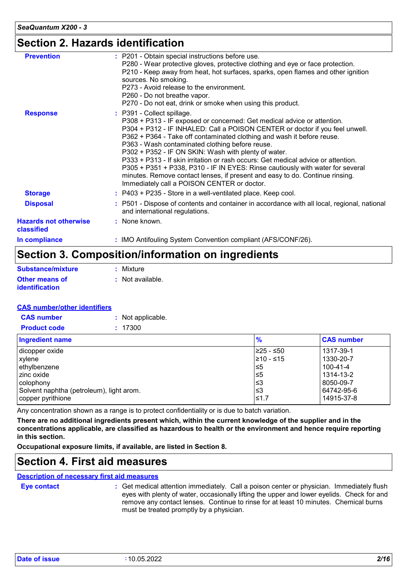### **Section 2. Hazards identification**

| <b>Hazards not otherwise</b><br>classified | : None known.                                                                                                                                                                                                                                                                                                                                                                                                                                                                                                                                                                                                                                                                    |
|--------------------------------------------|----------------------------------------------------------------------------------------------------------------------------------------------------------------------------------------------------------------------------------------------------------------------------------------------------------------------------------------------------------------------------------------------------------------------------------------------------------------------------------------------------------------------------------------------------------------------------------------------------------------------------------------------------------------------------------|
| <b>Disposal</b>                            | : P501 - Dispose of contents and container in accordance with all local, regional, national<br>and international regulations.                                                                                                                                                                                                                                                                                                                                                                                                                                                                                                                                                    |
| <b>Storage</b>                             | : P403 + P235 - Store in a well-ventilated place. Keep cool.                                                                                                                                                                                                                                                                                                                                                                                                                                                                                                                                                                                                                     |
| <b>Response</b>                            | : P391 - Collect spillage.<br>P308 + P313 - IF exposed or concerned: Get medical advice or attention.<br>P304 + P312 - IF INHALED: Call a POISON CENTER or doctor if you feel unwell.<br>P362 + P364 - Take off contaminated clothing and wash it before reuse.<br>P363 - Wash contaminated clothing before reuse.<br>P302 + P352 - IF ON SKIN: Wash with plenty of water.<br>P333 + P313 - If skin irritation or rash occurs: Get medical advice or attention.<br>P305 + P351 + P338, P310 - IF IN EYES: Rinse cautiously with water for several<br>minutes. Remove contact lenses, if present and easy to do. Continue rinsing.<br>Immediately call a POISON CENTER or doctor. |
| <b>Prevention</b>                          | : P201 - Obtain special instructions before use.<br>P280 - Wear protective gloves, protective clothing and eye or face protection.<br>P210 - Keep away from heat, hot surfaces, sparks, open flames and other ignition<br>sources. No smoking.<br>P273 - Avoid release to the environment.<br>P260 - Do not breathe vapor.<br>P270 - Do not eat, drink or smoke when using this product.                                                                                                                                                                                                                                                                                         |

### **Section 3. Composition/information on ingredients**

| Substance/mixture                              | : Mixture                   |
|------------------------------------------------|-----------------------------|
| <b>Other means of</b><br><b>identification</b> | $\therefore$ Not available. |

#### **CAS number/other identifiers**

| <b>CAS number</b>   | : Not applicable. |
|---------------------|-------------------|
| <b>Product code</b> | : 17300           |

| Ingredient name                          | $\frac{9}{6}$ | <b>CAS number</b> |
|------------------------------------------|---------------|-------------------|
| dicopper oxide                           | 225 - ≤50     | 1317-39-1         |
| xylene                                   | l≥10 - ≤15    | 1330-20-7         |
| ethylbenzene                             | ≤5            | $100 - 41 - 4$    |
| Izinc oxide                              | ≤5            | 1314-13-2         |
| colophony                                | ≤3            | 8050-09-7         |
| Solvent naphtha (petroleum), light arom. | ≤3            | 64742-95-6        |
| copper pyrithione                        | ≤1.7          | 14915-37-8        |

Any concentration shown as a range is to protect confidentiality or is due to batch variation.

**There are no additional ingredients present which, within the current knowledge of the supplier and in the concentrations applicable, are classified as hazardous to health or the environment and hence require reporting in this section.**

**Occupational exposure limits, if available, are listed in Section 8.**

### **Section 4. First aid measures**

#### **Description of necessary first aid measures**

**Eye contact :**

Get medical attention immediately. Call a poison center or physician. Immediately flush eyes with plenty of water, occasionally lifting the upper and lower eyelids. Check for and remove any contact lenses. Continue to rinse for at least 10 minutes. Chemical burns must be treated promptly by a physician.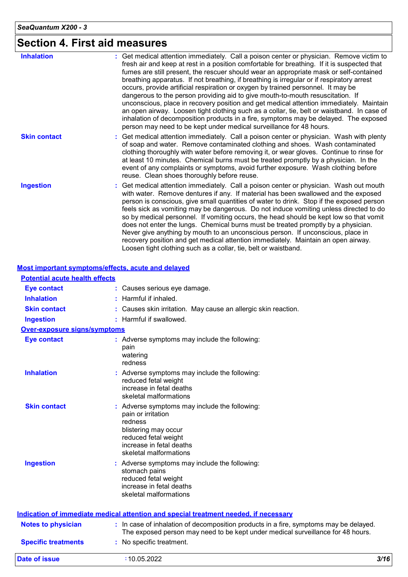# **Section 4. First aid measures**

| <b>Inhalation</b>   | : Get medical attention immediately. Call a poison center or physician. Remove victim to<br>fresh air and keep at rest in a position comfortable for breathing. If it is suspected that<br>fumes are still present, the rescuer should wear an appropriate mask or self-contained<br>breathing apparatus. If not breathing, if breathing is irregular or if respiratory arrest<br>occurs, provide artificial respiration or oxygen by trained personnel. It may be<br>dangerous to the person providing aid to give mouth-to-mouth resuscitation. If<br>unconscious, place in recovery position and get medical attention immediately. Maintain<br>an open airway. Loosen tight clothing such as a collar, tie, belt or waistband. In case of<br>inhalation of decomposition products in a fire, symptoms may be delayed. The exposed<br>person may need to be kept under medical surveillance for 48 hours. |
|---------------------|--------------------------------------------------------------------------------------------------------------------------------------------------------------------------------------------------------------------------------------------------------------------------------------------------------------------------------------------------------------------------------------------------------------------------------------------------------------------------------------------------------------------------------------------------------------------------------------------------------------------------------------------------------------------------------------------------------------------------------------------------------------------------------------------------------------------------------------------------------------------------------------------------------------|
| <b>Skin contact</b> | : Get medical attention immediately. Call a poison center or physician. Wash with plenty<br>of soap and water. Remove contaminated clothing and shoes. Wash contaminated<br>clothing thoroughly with water before removing it, or wear gloves. Continue to rinse for<br>at least 10 minutes. Chemical burns must be treated promptly by a physician. In the<br>event of any complaints or symptoms, avoid further exposure. Wash clothing before<br>reuse. Clean shoes thoroughly before reuse.                                                                                                                                                                                                                                                                                                                                                                                                              |
| <b>Ingestion</b>    | : Get medical attention immediately. Call a poison center or physician. Wash out mouth<br>with water. Remove dentures if any. If material has been swallowed and the exposed<br>person is conscious, give small quantities of water to drink. Stop if the exposed person<br>feels sick as vomiting may be dangerous. Do not induce vomiting unless directed to do<br>so by medical personnel. If vomiting occurs, the head should be kept low so that vomit<br>does not enter the lungs. Chemical burns must be treated promptly by a physician.<br>Never give anything by mouth to an unconscious person. If unconscious, place in<br>recovery position and get medical attention immediately. Maintain an open airway.<br>Loosen tight clothing such as a collar, tie, belt or waistband.                                                                                                                  |

|                                       | <b>Most important symptoms/effects, acute and delayed</b>                                                                                                                            |      |
|---------------------------------------|--------------------------------------------------------------------------------------------------------------------------------------------------------------------------------------|------|
| <b>Potential acute health effects</b> |                                                                                                                                                                                      |      |
| <b>Eye contact</b>                    | : Causes serious eye damage.                                                                                                                                                         |      |
| <b>Inhalation</b>                     | Harmful if inhaled.                                                                                                                                                                  |      |
| <b>Skin contact</b>                   | : Causes skin irritation. May cause an allergic skin reaction.                                                                                                                       |      |
| <b>Ingestion</b>                      | : Harmful if swallowed.                                                                                                                                                              |      |
| <b>Over-exposure signs/symptoms</b>   |                                                                                                                                                                                      |      |
| <b>Eye contact</b>                    | : Adverse symptoms may include the following:<br>pain<br>watering<br>redness                                                                                                         |      |
| <b>Inhalation</b>                     | : Adverse symptoms may include the following:<br>reduced fetal weight<br>increase in fetal deaths<br>skeletal malformations                                                          |      |
| <b>Skin contact</b>                   | : Adverse symptoms may include the following:<br>pain or irritation<br>redness<br>blistering may occur<br>reduced fetal weight<br>increase in fetal deaths<br>skeletal malformations |      |
| <b>Ingestion</b>                      | : Adverse symptoms may include the following:<br>stomach pains<br>reduced fetal weight<br>increase in fetal deaths<br>skeletal malformations                                         |      |
|                                       | Indication of immediate medical attention and special treatment needed, if necessary                                                                                                 |      |
| <b>Notes to physician</b>             | : In case of inhalation of decomposition products in a fire, symptoms may be delayed.<br>The exposed person may need to be kept under medical surveillance for 48 hours.             |      |
| <b>Specific treatments</b>            | : No specific treatment.                                                                                                                                                             |      |
| <b>Date of issue</b>                  | :10.05.2022                                                                                                                                                                          | 3/16 |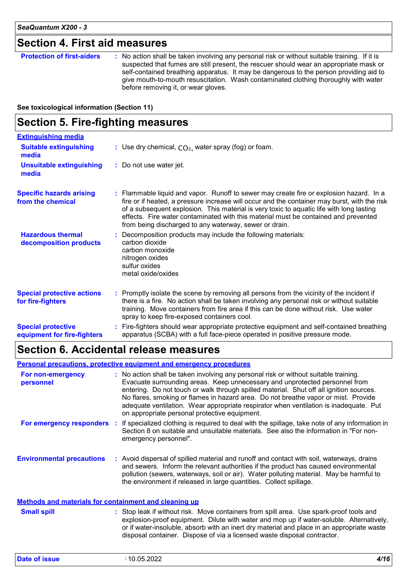### **Section 4. First aid measures**

| suspected that fumes are still present, the rescuer should wear an appropriate mask or<br>self-contained breathing apparatus. It may be dangerous to the person providing aid to<br>give mouth-to-mouth resuscitation. Wash contaminated clothing thoroughly with water<br>before removing it, or wear gloves. | <b>Protection of first-aiders</b> | : No action shall be taken involving any personal risk or without suitable training. If it is |
|----------------------------------------------------------------------------------------------------------------------------------------------------------------------------------------------------------------------------------------------------------------------------------------------------------------|-----------------------------------|-----------------------------------------------------------------------------------------------|
|----------------------------------------------------------------------------------------------------------------------------------------------------------------------------------------------------------------------------------------------------------------------------------------------------------------|-----------------------------------|-----------------------------------------------------------------------------------------------|

**See toxicological information (Section 11)**

### **Section 5. Fire-fighting measures**

| <b>Extinguishing media</b>                               |                                                                                                                                                                                                                                                                                                                                                                                                                                      |
|----------------------------------------------------------|--------------------------------------------------------------------------------------------------------------------------------------------------------------------------------------------------------------------------------------------------------------------------------------------------------------------------------------------------------------------------------------------------------------------------------------|
| <b>Suitable extinguishing</b><br>media                   | : Use dry chemical, $CO2$ , water spray (fog) or foam.                                                                                                                                                                                                                                                                                                                                                                               |
| <b>Unsuitable extinguishing</b><br>media                 | : Do not use water jet.                                                                                                                                                                                                                                                                                                                                                                                                              |
| <b>Specific hazards arising</b><br>from the chemical     | : Flammable liquid and vapor. Runoff to sewer may create fire or explosion hazard. In a<br>fire or if heated, a pressure increase will occur and the container may burst, with the risk<br>of a subsequent explosion. This material is very toxic to aquatic life with long lasting<br>effects. Fire water contaminated with this material must be contained and prevented<br>from being discharged to any waterway, sewer or drain. |
| <b>Hazardous thermal</b><br>decomposition products       | Decomposition products may include the following materials:<br>carbon dioxide<br>carbon monoxide<br>nitrogen oxides<br>sulfur oxides<br>metal oxide/oxides                                                                                                                                                                                                                                                                           |
| <b>Special protective actions</b><br>for fire-fighters   | : Promptly isolate the scene by removing all persons from the vicinity of the incident if<br>there is a fire. No action shall be taken involving any personal risk or without suitable<br>training. Move containers from fire area if this can be done without risk. Use water<br>spray to keep fire-exposed containers cool.                                                                                                        |
| <b>Special protective</b><br>equipment for fire-fighters | : Fire-fighters should wear appropriate protective equipment and self-contained breathing<br>apparatus (SCBA) with a full face-piece operated in positive pressure mode.                                                                                                                                                                                                                                                             |

### **Section 6. Accidental release measures**

#### **Personal precautions, protective equipment and emergency procedures**

| For non-emergency<br>personnel                               | : No action shall be taken involving any personal risk or without suitable training.<br>Evacuate surrounding areas. Keep unnecessary and unprotected personnel from<br>entering. Do not touch or walk through spilled material. Shut off all ignition sources.<br>No flares, smoking or flames in hazard area. Do not breathe vapor or mist. Provide<br>adequate ventilation. Wear appropriate respirator when ventilation is inadequate. Put<br>on appropriate personal protective equipment. |
|--------------------------------------------------------------|------------------------------------------------------------------------------------------------------------------------------------------------------------------------------------------------------------------------------------------------------------------------------------------------------------------------------------------------------------------------------------------------------------------------------------------------------------------------------------------------|
| For emergency responders                                     | If specialized clothing is required to deal with the spillage, take note of any information in<br>Section 8 on suitable and unsuitable materials. See also the information in "For non-<br>emergency personnel".                                                                                                                                                                                                                                                                               |
| <b>Environmental precautions</b>                             | : Avoid dispersal of spilled material and runoff and contact with soil, waterways, drains<br>and sewers. Inform the relevant authorities if the product has caused environmental<br>pollution (sewers, waterways, soil or air). Water polluting material. May be harmful to<br>the environment if released in large quantities. Collect spillage.                                                                                                                                              |
| <u>Methods and materials for containment and cleaning up</u> |                                                                                                                                                                                                                                                                                                                                                                                                                                                                                                |
| <b>Small spill</b>                                           | : Stop leak if without risk. Move containers from spill area. Use spark-proof tools and                                                                                                                                                                                                                                                                                                                                                                                                        |

#### explosion-proof equipment. Dilute with water and mop up if water-soluble. Alternatively, or if water-insoluble, absorb with an inert dry material and place in an appropriate waste disposal container. Dispose of via a licensed waste disposal contractor.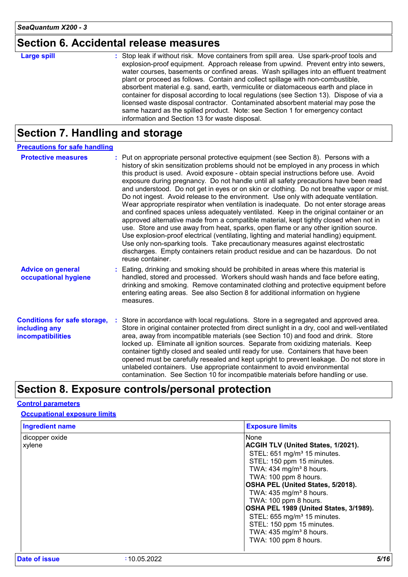### **Section 6. Accidental release measures**

| <b>Large spill</b> | : Stop leak if without risk. Move containers from spill area. Use spark-proof tools and<br>explosion-proof equipment. Approach release from upwind. Prevent entry into sewers,<br>water courses, basements or confined areas. Wash spillages into an effluent treatment<br>plant or proceed as follows. Contain and collect spillage with non-combustible,<br>absorbent material e.g. sand, earth, vermiculite or diatomaceous earth and place in<br>container for disposal according to local regulations (see Section 13). Dispose of via a<br>licensed waste disposal contractor. Contaminated absorbent material may pose the |
|--------------------|-----------------------------------------------------------------------------------------------------------------------------------------------------------------------------------------------------------------------------------------------------------------------------------------------------------------------------------------------------------------------------------------------------------------------------------------------------------------------------------------------------------------------------------------------------------------------------------------------------------------------------------|
|                    | same hazard as the spilled product. Note: see Section 1 for emergency contact<br>information and Section 13 for waste disposal.                                                                                                                                                                                                                                                                                                                                                                                                                                                                                                   |

### **Section 7. Handling and storage**

| <b>Precautions for safe handling</b>                                      |                                                                                                                                                                                                                                                                                                                                                                                                                                                                                                                                                                                                                                                                                                                                                                                                                                                                                                                                                                                                                                                                                                                                                                                                          |
|---------------------------------------------------------------------------|----------------------------------------------------------------------------------------------------------------------------------------------------------------------------------------------------------------------------------------------------------------------------------------------------------------------------------------------------------------------------------------------------------------------------------------------------------------------------------------------------------------------------------------------------------------------------------------------------------------------------------------------------------------------------------------------------------------------------------------------------------------------------------------------------------------------------------------------------------------------------------------------------------------------------------------------------------------------------------------------------------------------------------------------------------------------------------------------------------------------------------------------------------------------------------------------------------|
| <b>Protective measures</b>                                                | : Put on appropriate personal protective equipment (see Section 8). Persons with a<br>history of skin sensitization problems should not be employed in any process in which<br>this product is used. Avoid exposure - obtain special instructions before use. Avoid<br>exposure during pregnancy. Do not handle until all safety precautions have been read<br>and understood. Do not get in eyes or on skin or clothing. Do not breathe vapor or mist.<br>Do not ingest. Avoid release to the environment. Use only with adequate ventilation.<br>Wear appropriate respirator when ventilation is inadequate. Do not enter storage areas<br>and confined spaces unless adequately ventilated. Keep in the original container or an<br>approved alternative made from a compatible material, kept tightly closed when not in<br>use. Store and use away from heat, sparks, open flame or any other ignition source.<br>Use explosion-proof electrical (ventilating, lighting and material handling) equipment.<br>Use only non-sparking tools. Take precautionary measures against electrostatic<br>discharges. Empty containers retain product residue and can be hazardous. Do not<br>reuse container. |
| <b>Advice on general</b><br>occupational hygiene                          | : Eating, drinking and smoking should be prohibited in areas where this material is<br>handled, stored and processed. Workers should wash hands and face before eating,<br>drinking and smoking. Remove contaminated clothing and protective equipment before<br>entering eating areas. See also Section 8 for additional information on hygiene<br>measures.                                                                                                                                                                                                                                                                                                                                                                                                                                                                                                                                                                                                                                                                                                                                                                                                                                            |
| <b>Conditions for safe storage,</b><br>including any<br>incompatibilities | Store in accordance with local regulations. Store in a segregated and approved area.<br>Store in original container protected from direct sunlight in a dry, cool and well-ventilated<br>area, away from incompatible materials (see Section 10) and food and drink. Store<br>locked up. Eliminate all ignition sources. Separate from oxidizing materials. Keep<br>container tightly closed and sealed until ready for use. Containers that have been<br>opened must be carefully resealed and kept upright to prevent leakage. Do not store in<br>unlabeled containers. Use appropriate containment to avoid environmental<br>contamination. See Section 10 for incompatible materials before handling or use.                                                                                                                                                                                                                                                                                                                                                                                                                                                                                         |

### **Section 8. Exposure controls/personal protection**

#### **Control parameters**

**Occupational exposure limits**

| <b>Ingredient name</b>   | <b>Exposure limits</b>                                                                                                               |
|--------------------------|--------------------------------------------------------------------------------------------------------------------------------------|
| dicopper oxide<br>xylene | None<br><b>ACGIH TLV (United States, 1/2021).</b><br>STEL: 651 mg/m <sup>3</sup> 15 minutes.                                         |
|                          | STEL: 150 ppm 15 minutes.<br>TWA: 434 mg/m <sup>3</sup> 8 hours.<br>TWA: 100 ppm 8 hours.<br>OSHA PEL (United States, 5/2018).       |
|                          | TWA: $435 \text{ mg/m}^3$ 8 hours.<br>TWA: 100 ppm 8 hours.<br>OSHA PEL 1989 (United States, 3/1989).                                |
|                          | STEL: 655 mg/m <sup>3</sup> 15 minutes.<br>STEL: 150 ppm 15 minutes.<br>TWA: 435 mg/m <sup>3</sup> 8 hours.<br>TWA: 100 ppm 8 hours. |
|                          |                                                                                                                                      |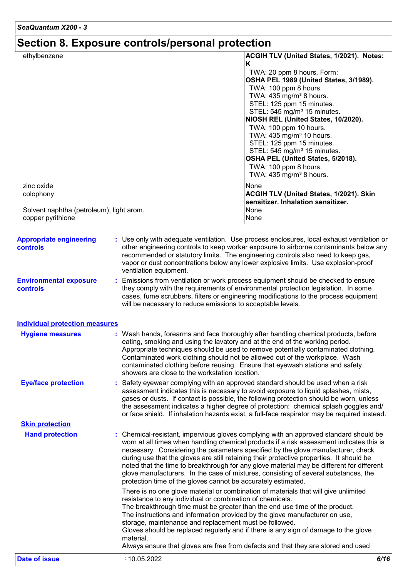# **Section 8. Exposure controls/personal protection**

| ethylbenzene                             | ACGIH TLV (United States, 1/2021). Notes: |
|------------------------------------------|-------------------------------------------|
|                                          | ĸ                                         |
|                                          | TWA: 20 ppm 8 hours. Form:                |
|                                          | OSHA PEL 1989 (United States, 3/1989).    |
|                                          | TWA: 100 ppm 8 hours.                     |
|                                          | TWA: 435 mg/m <sup>3</sup> 8 hours.       |
|                                          | STEL: 125 ppm 15 minutes.                 |
|                                          | STEL: 545 mg/m <sup>3</sup> 15 minutes.   |
|                                          | NIOSH REL (United States, 10/2020).       |
|                                          | TWA: 100 ppm 10 hours.                    |
|                                          | TWA: 435 mg/m <sup>3</sup> 10 hours.      |
|                                          | STEL: 125 ppm 15 minutes.                 |
|                                          | STEL: 545 mg/m <sup>3</sup> 15 minutes.   |
|                                          | OSHA PEL (United States, 5/2018).         |
|                                          | TWA: 100 ppm 8 hours.                     |
|                                          | TWA: $435 \text{ mg/m}^3$ 8 hours.        |
| zinc oxide                               | None                                      |
| colophony                                | ACGIH TLV (United States, 1/2021). Skin   |
|                                          | sensitizer. Inhalation sensitizer.        |
| Solvent naphtha (petroleum), light arom. | None                                      |
| copper pyrithione                        | None                                      |

| <b>Appropriate engineering</b><br>controls | : Use only with adequate ventilation. Use process enclosures, local exhaust ventilation or<br>other engineering controls to keep worker exposure to airborne contaminants below any<br>recommended or statutory limits. The engineering controls also need to keep gas,<br>vapor or dust concentrations below any lower explosive limits. Use explosion-proof<br>ventilation equipment.                                                                                                                                                                                                                                |
|--------------------------------------------|------------------------------------------------------------------------------------------------------------------------------------------------------------------------------------------------------------------------------------------------------------------------------------------------------------------------------------------------------------------------------------------------------------------------------------------------------------------------------------------------------------------------------------------------------------------------------------------------------------------------|
| <b>Environmental exposure</b><br>controls  | : Emissions from ventilation or work process equipment should be checked to ensure<br>they comply with the requirements of environmental protection legislation. In some<br>cases, fume scrubbers, filters or engineering modifications to the process equipment<br>will be necessary to reduce emissions to acceptable levels.                                                                                                                                                                                                                                                                                        |
| <b>Individual protection measures</b>      |                                                                                                                                                                                                                                                                                                                                                                                                                                                                                                                                                                                                                        |
| <b>Hygiene measures</b>                    | : Wash hands, forearms and face thoroughly after handling chemical products, before<br>eating, smoking and using the lavatory and at the end of the working period.<br>Appropriate techniques should be used to remove potentially contaminated clothing.<br>Contaminated work clothing should not be allowed out of the workplace. Wash<br>contaminated clothing before reusing. Ensure that eyewash stations and safety<br>showers are close to the workstation location.                                                                                                                                            |
| <b>Eye/face protection</b>                 | : Safety eyewear complying with an approved standard should be used when a risk<br>assessment indicates this is necessary to avoid exposure to liquid splashes, mists,<br>gases or dusts. If contact is possible, the following protection should be worn, unless<br>the assessment indicates a higher degree of protection: chemical splash goggles and/<br>or face shield. If inhalation hazards exist, a full-face respirator may be required instead.                                                                                                                                                              |
| <b>Skin protection</b>                     |                                                                                                                                                                                                                                                                                                                                                                                                                                                                                                                                                                                                                        |
| <b>Hand protection</b>                     | : Chemical-resistant, impervious gloves complying with an approved standard should be<br>worn at all times when handling chemical products if a risk assessment indicates this is<br>necessary. Considering the parameters specified by the glove manufacturer, check<br>during use that the gloves are still retaining their protective properties. It should be<br>noted that the time to breakthrough for any glove material may be different for different<br>glove manufacturers. In the case of mixtures, consisting of several substances, the<br>protection time of the gloves cannot be accurately estimated. |
|                                            | There is no one glove material or combination of materials that will give unlimited<br>resistance to any individual or combination of chemicals.<br>The breakthrough time must be greater than the end use time of the product.<br>The instructions and information provided by the glove manufacturer on use,<br>storage, maintenance and replacement must be followed.<br>Gloves should be replaced regularly and if there is any sign of damage to the glove<br>material.<br>Always ensure that gloves are free from defects and that they are stored and used                                                      |
| <b>Date of issue</b>                       | 6/16<br>:10.05.2022                                                                                                                                                                                                                                                                                                                                                                                                                                                                                                                                                                                                    |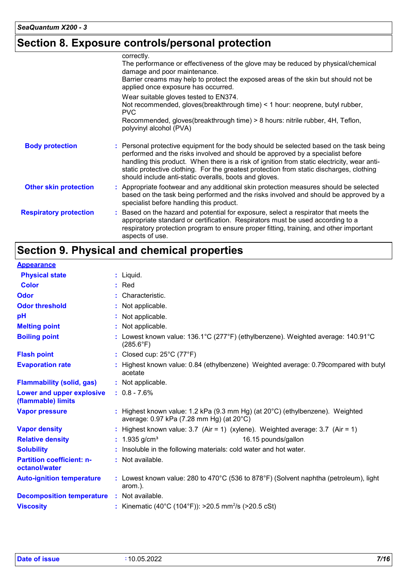### **Section 8. Exposure controls/personal protection**

|                               | correctly.<br>The performance or effectiveness of the glove may be reduced by physical/chemical<br>damage and poor maintenance.<br>Barrier creams may help to protect the exposed areas of the skin but should not be<br>applied once exposure has occurred.                                                                                                                                                                   |
|-------------------------------|--------------------------------------------------------------------------------------------------------------------------------------------------------------------------------------------------------------------------------------------------------------------------------------------------------------------------------------------------------------------------------------------------------------------------------|
|                               | Wear suitable gloves tested to EN374.<br>Not recommended, gloves (breakthrough time) < 1 hour: neoprene, butyl rubber,<br><b>PVC</b><br>Recommended, gloves(breakthrough time) > 8 hours: nitrile rubber, 4H, Teflon,<br>polyvinyl alcohol (PVA)                                                                                                                                                                               |
| <b>Body protection</b>        | : Personal protective equipment for the body should be selected based on the task being<br>performed and the risks involved and should be approved by a specialist before<br>handling this product. When there is a risk of ignition from static electricity, wear anti-<br>static protective clothing. For the greatest protection from static discharges, clothing<br>should include anti-static overalls, boots and gloves. |
| <b>Other skin protection</b>  | : Appropriate footwear and any additional skin protection measures should be selected<br>based on the task being performed and the risks involved and should be approved by a<br>specialist before handling this product.                                                                                                                                                                                                      |
| <b>Respiratory protection</b> | : Based on the hazard and potential for exposure, select a respirator that meets the<br>appropriate standard or certification. Respirators must be used according to a<br>respiratory protection program to ensure proper fitting, training, and other important<br>aspects of use.                                                                                                                                            |

## **Section 9. Physical and chemical properties**

#### **Appearance**

| <b>Physical state</b>                             | $:$ Liquid.                                                                                                                           |
|---------------------------------------------------|---------------------------------------------------------------------------------------------------------------------------------------|
| <b>Color</b>                                      | $:$ Red                                                                                                                               |
| Odor                                              | : Characteristic.                                                                                                                     |
| <b>Odor threshold</b>                             | : Not applicable.                                                                                                                     |
| pH                                                | : Not applicable.                                                                                                                     |
| <b>Melting point</b>                              | : Not applicable.                                                                                                                     |
| <b>Boiling point</b>                              | : Lowest known value: $136.1^{\circ}$ C (277 $^{\circ}$ F) (ethylbenzene). Weighted average: $140.91^{\circ}$ C<br>$(285.6^{\circ}F)$ |
| <b>Flash point</b>                                | : Closed cup: $25^{\circ}$ C (77 $^{\circ}$ F)                                                                                        |
| <b>Evaporation rate</b>                           | Highest known value: 0.84 (ethylbenzene) Weighted average: 0.79 compared with butyl<br>acetate                                        |
| <b>Flammability (solid, gas)</b>                  | : Not applicable.                                                                                                                     |
| Lower and upper explosive<br>(flammable) limits   | $: 0.8 - 7.6\%$                                                                                                                       |
| <b>Vapor pressure</b>                             | : Highest known value: 1.2 kPa (9.3 mm Hg) (at $20^{\circ}$ C) (ethylbenzene). Weighted<br>average: 0.97 kPa (7.28 mm Hg) (at 20°C)   |
| <b>Vapor density</b>                              | : Highest known value: $3.7$ (Air = 1) (xylene). Weighted average: $3.7$ (Air = 1)                                                    |
| <b>Relative density</b>                           | : $1.935$ g/cm <sup>3</sup><br>16.15 pounds/gallon                                                                                    |
| <b>Solubility</b>                                 | Insoluble in the following materials: cold water and hot water.                                                                       |
| <b>Partition coefficient: n-</b><br>octanol/water | : Not available.                                                                                                                      |
| <b>Auto-ignition temperature</b>                  | : Lowest known value: 280 to 470 $\degree$ C (536 to 878 $\degree$ F) (Solvent naphtha (petroleum), light<br>arom.).                  |
| <b>Decomposition temperature :</b> Not available. |                                                                                                                                       |
| <b>Viscosity</b>                                  | : Kinematic (40°C (104°F)): >20.5 mm <sup>2</sup> /s (>20.5 cSt)                                                                      |
|                                                   |                                                                                                                                       |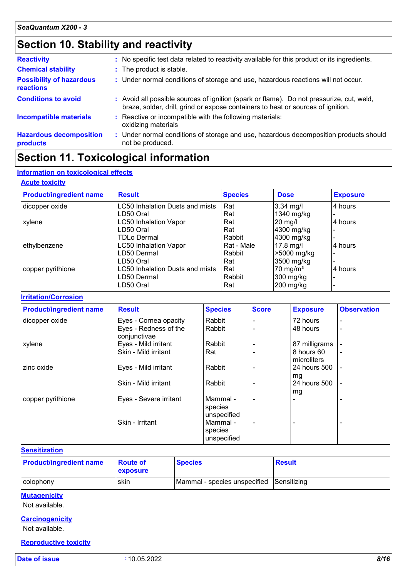### **Section 10. Stability and reactivity**

| <b>Reactivity</b>                                   | : No specific test data related to reactivity available for this product or its ingredients.                                                                                 |
|-----------------------------------------------------|------------------------------------------------------------------------------------------------------------------------------------------------------------------------------|
| <b>Chemical stability</b>                           | : The product is stable.                                                                                                                                                     |
| <b>Possibility of hazardous</b><br><b>reactions</b> | : Under normal conditions of storage and use, hazardous reactions will not occur.                                                                                            |
| <b>Conditions to avoid</b>                          | : Avoid all possible sources of ignition (spark or flame). Do not pressurize, cut, weld,<br>braze, solder, drill, grind or expose containers to heat or sources of ignition. |
| <b>Incompatible materials</b>                       | Reactive or incompatible with the following materials:<br>oxidizing materials                                                                                                |
| <b>Hazardous decomposition</b><br>products          | : Under normal conditions of storage and use, hazardous decomposition products should<br>not be produced.                                                                    |

### **Section 11. Toxicological information**

#### **Information on toxicological effects**

#### **Acute toxicity**

| <b>Product/ingredient name</b> | <b>Result</b>                   | <b>Species</b> | <b>Dose</b>         | <b>Exposure</b> |
|--------------------------------|---------------------------------|----------------|---------------------|-----------------|
| dicopper oxide                 | LC50 Inhalation Dusts and mists | Rat            | $3.34$ mg/l         | 4 hours         |
|                                | LD50 Oral                       | Rat            | 1340 mg/kg          |                 |
| xylene                         | <b>LC50 Inhalation Vapor</b>    | Rat            | 20 mg/l             | 4 hours         |
|                                | LD50 Oral                       | Rat            | 4300 mg/kg          |                 |
|                                | <b>TDLo Dermal</b>              | Rabbit         | 4300 mg/kg          |                 |
| ethylbenzene                   | <b>LC50 Inhalation Vapor</b>    | Rat - Male     | $17.8$ mg/l         | 4 hours         |
|                                | LD50 Dermal                     | Rabbit         | >5000 mg/kg         |                 |
|                                | LD50 Oral                       | Rat            | 3500 mg/kg          |                 |
| copper pyrithione              | LC50 Inhalation Dusts and mists | Rat            | $70 \text{ mg/m}^3$ | 4 hours         |
|                                | LD50 Dermal                     | Rabbit         | 300 mg/kg           |                 |
|                                | LD50 Oral                       | Rat            | 200 mg/kg           |                 |

#### **Irritation/Corrosion**

| <b>Product/ingredient name</b> | <b>Result</b>                         | <b>Species</b>                     | <b>Score</b> | <b>Exposure</b>           | <b>Observation</b> |
|--------------------------------|---------------------------------------|------------------------------------|--------------|---------------------------|--------------------|
| dicopper oxide                 | Eyes - Cornea opacity                 | Rabbit                             |              | 72 hours                  | $\blacksquare$     |
|                                | Eyes - Redness of the<br>conjunctivae | Rabbit                             |              | 48 hours                  | $\blacksquare$     |
| xylene                         | Eyes - Mild irritant                  | Rabbit                             |              | 87 milligrams             |                    |
|                                | Skin - Mild irritant                  | Rat                                |              | 8 hours 60<br>microliters | $\blacksquare$     |
| zinc oxide                     | Eyes - Mild irritant                  | Rabbit                             |              | 24 hours 500<br>mg        |                    |
|                                | Skin - Mild irritant                  | Rabbit                             |              | 24 hours 500<br>mg        | ÷                  |
| copper pyrithione              | Eyes - Severe irritant                | Mammal -<br>species<br>unspecified |              |                           |                    |
|                                | Skin - Irritant                       | Mammal -<br>species<br>unspecified |              |                           |                    |

#### **Sensitization**

| <b>Product/ingredient name</b> | <b>Route of</b><br><b>exposure</b> | <b>Species</b>                           | <b>Result</b> |
|--------------------------------|------------------------------------|------------------------------------------|---------------|
| colophony                      | skin                               | Mammal - species unspecified Sensitizing |               |

#### **Mutagenicity**

Not available.

#### **Carcinogenicity**

Not available.

#### **Reproductive toxicity**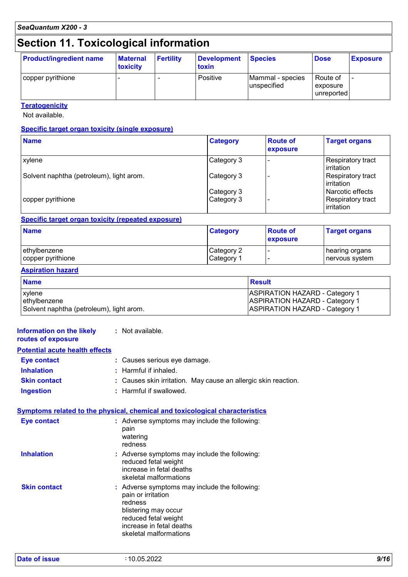### **Section 11. Toxicological information**

| <b>Product/ingredient name</b> | <b>Maternal</b><br>toxicity | <b>Fertility</b> | <b>Development</b><br>toxin | <b>Species</b>                  | <b>Dose</b>                        | <b>Exposure</b>          |
|--------------------------------|-----------------------------|------------------|-----------------------------|---------------------------------|------------------------------------|--------------------------|
| copper pyrithione              |                             |                  | Positive                    | Mammal - species<br>unspecified | Route of<br>exposure<br>unreported | $\overline{\phantom{0}}$ |

**Teratogenicity**

Not available.

#### **Specific target organ toxicity (single exposure)**

| <b>Name</b>                              | <b>Category</b>          | <b>Route of</b><br>exposure | <b>Target organs</b>                                |
|------------------------------------------|--------------------------|-----------------------------|-----------------------------------------------------|
| xylene                                   | Category 3               |                             | Respiratory tract<br>l irritation                   |
| Solvent naphtha (petroleum), light arom. | Category 3               |                             | Respiratory tract<br>l irritation                   |
| copper pyrithione                        | Category 3<br>Category 3 |                             | Narcotic effects<br>Respiratory tract<br>irritation |

#### **Specific target organ toxicity (repeated exposure)**

| <b>Name</b>       | <b>Category</b>        | <b>Route of</b><br>exposure | <b>Target organs</b> |
|-------------------|------------------------|-----------------------------|----------------------|
| ethylbenzene      | Category 2             |                             | hearing organs       |
| copper pyrithione | ∣Category <sup>≁</sup> |                             | ∣nervous system      |

#### **Aspiration hazard**

| <b>Name</b>                              | <b>Result</b>                         |
|------------------------------------------|---------------------------------------|
| <b>xylene</b>                            | <b>ASPIRATION HAZARD - Category 1</b> |
| ethylbenzene                             | <b>ASPIRATION HAZARD - Category 1</b> |
| Solvent naphtha (petroleum), light arom. | <b>ASPIRATION HAZARD - Category 1</b> |

#### **Information on the likely routes of exposure Inhalation :** Harmful if inhaled. **Ingestion :** Harmful if swallowed. **Skin contact :** Causes skin irritation. May cause an allergic skin reaction. **Eye contact :** Causes serious eye damage. **Symptoms related to the physical, chemical and toxicological characteristics Skin contact Inhalation Adverse symptoms may include the following:**  $\blacksquare$ reduced fetal weight increase in fetal deaths skeletal malformations Adverse symptoms may include the following: **:** pain or irritation redness blistering may occur reduced fetal weight increase in fetal deaths skeletal malformations **Eye contact :** Adverse symptoms may include the following: pain watering redness **:** Not available. **Potential acute health effects**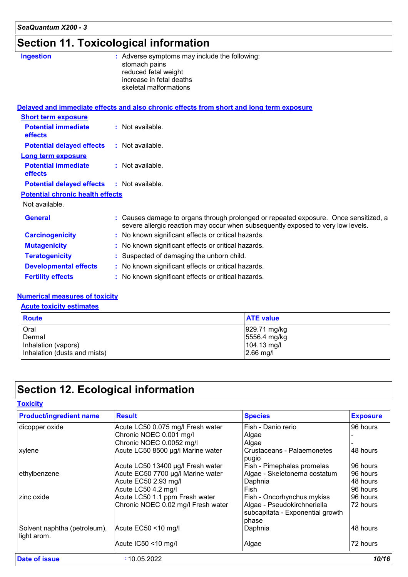### **Section 11. Toxicological information**

| <b>Ingestion</b>                        | : Adverse symptoms may include the following:<br>stomach pains<br>reduced fetal weight<br>increase in fetal deaths<br>skeletal malformations                             |
|-----------------------------------------|--------------------------------------------------------------------------------------------------------------------------------------------------------------------------|
|                                         | Delayed and immediate effects and also chronic effects from short and long term exposure                                                                                 |
| <b>Short term exposure</b>              |                                                                                                                                                                          |
| <b>Potential immediate</b><br>effects   | : Not available.                                                                                                                                                         |
| <b>Potential delayed effects</b>        | : Not available.                                                                                                                                                         |
| <b>Long term exposure</b>               |                                                                                                                                                                          |
| <b>Potential immediate</b><br>effects   | $:$ Not available.                                                                                                                                                       |
| <b>Potential delayed effects</b>        | : Not available.                                                                                                                                                         |
| <b>Potential chronic health effects</b> |                                                                                                                                                                          |
| Not available.                          |                                                                                                                                                                          |
| <b>General</b>                          | : Causes damage to organs through prolonged or repeated exposure. Once sensitized, a<br>severe allergic reaction may occur when subsequently exposed to very low levels. |
| <b>Carcinogenicity</b>                  | : No known significant effects or critical hazards.                                                                                                                      |
| <b>Mutagenicity</b>                     | : No known significant effects or critical hazards.                                                                                                                      |
| <b>Teratogenicity</b>                   | : Suspected of damaging the unborn child.                                                                                                                                |
| <b>Developmental effects</b>            | : No known significant effects or critical hazards.                                                                                                                      |
| <b>Fertility effects</b>                | : No known significant effects or critical hazards.                                                                                                                      |

#### **Numerical measures of toxicity**

#### **Acute toxicity estimates**

| <b>Route</b>                 | <b>ATE value</b> |
|------------------------------|------------------|
| Oral                         | 929.71 mg/kg     |
| Dermal                       | 5556.4 mg/kg     |
| Inhalation (vapors)          | 104.13 mg/l      |
| Inhalation (dusts and mists) | $2.66$ mg/l      |

### **Section 12. Ecological information**

| <b>Product/ingredient name</b>              | <b>Result</b>                      | <b>Species</b>                                                  | <b>Exposure</b> |
|---------------------------------------------|------------------------------------|-----------------------------------------------------------------|-----------------|
| dicopper oxide                              | Acute LC50 0.075 mg/l Fresh water  | Fish - Danio rerio                                              | 96 hours        |
|                                             | Chronic NOEC 0.001 mg/l            | Algae                                                           |                 |
|                                             | Chronic NOEC 0.0052 mg/l           | Algae                                                           |                 |
| xylene                                      | Acute LC50 8500 µg/l Marine water  | Crustaceans - Palaemonetes                                      | 48 hours        |
|                                             |                                    | pugio                                                           |                 |
|                                             | Acute LC50 13400 µg/l Fresh water  | Fish - Pimephales promelas                                      | 96 hours        |
| ethylbenzene                                | Acute EC50 7700 µg/l Marine water  | Algae - Skeletonema costatum                                    | 96 hours        |
|                                             | Acute EC50 2.93 mg/l               | Daphnia                                                         | 48 hours        |
|                                             | Acute LC50 4.2 mg/l                | Fish                                                            | 96 hours        |
| zinc oxide                                  | Acute LC50 1.1 ppm Fresh water     | Fish - Oncorhynchus mykiss                                      | 96 hours        |
|                                             | Chronic NOEC 0.02 mg/l Fresh water | Algae - Pseudokirchneriella<br>subcapitata - Exponential growth | 72 hours        |
|                                             |                                    | phase                                                           |                 |
| Solvent naphtha (petroleum),<br>light arom. | Acute EC50 <10 mg/l                | Daphnia                                                         | 48 hours        |
|                                             | Acute IC50 <10 mg/l                | Algae                                                           | 72 hours        |
| Date of issue                               | :10.05.2022                        |                                                                 | 10/16           |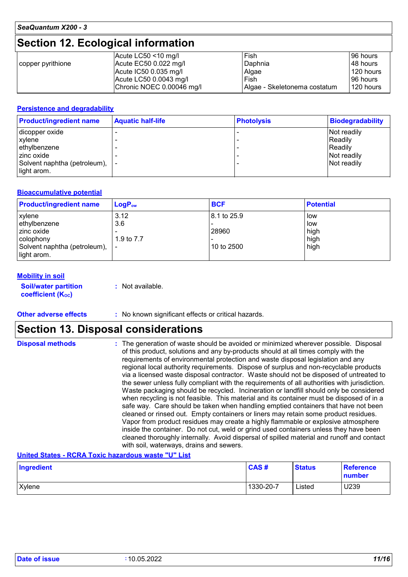### **Section 12. Ecological information**

|                   | Acute LC50 $<$ 10 mg/l    | Fish                         | 96 hours  |
|-------------------|---------------------------|------------------------------|-----------|
| copper pyrithione | Acute $EC50$ 0.022 mg/l   | Daphnia                      | 48 hours  |
|                   | Acute $IC500.035$ mg/l    | Algae                        | 120 hours |
|                   | Acute LC50 0.0043 mg/l    | Fish                         | 96 hours  |
|                   | Chronic NOEC 0.00046 mg/l | Algae - Skeletonema costatum | 120 hours |

#### **Persistence and degradability**

| <b>Product/ingredient name</b>                 | <b>Aquatic half-life</b> | <b>Photolysis</b> | <b>Biodegradability</b> |
|------------------------------------------------|--------------------------|-------------------|-------------------------|
| dicopper oxide                                 |                          |                   | Not readily             |
| xylene                                         |                          |                   | Readily                 |
| ethylbenzene                                   |                          |                   | Readily                 |
| zinc oxide                                     |                          |                   | Not readily             |
| Solvent naphtha (petroleum),  -<br>light arom. |                          |                   | Not readily             |

#### **Bioaccumulative potential**

| <b>Product/ingredient name</b> | $LogP_{ow}$ | <b>BCF</b>    | <b>Potential</b> |
|--------------------------------|-------------|---------------|------------------|
| xylene                         | 3.12        | l 8.1 to 25.9 | low              |
| ethylbenzene                   | 3.6         |               | low              |
| zinc oxide                     |             | 28960         | high             |
| colophony                      | 1.9 to 7.7  |               | high             |
| Solvent naphtha (petroleum),   |             | 10 to 2500    | high             |
| light arom.                    |             |               |                  |

#### **Mobility in soil**

**Soil/water partition coefficient (Koc) :** Not available.

**Other adverse effects** : No known significant effects or critical hazards.

### **Section 13. Disposal considerations**

| <b>Disposal methods</b> | : The generation of waste should be avoided or minimized wherever possible. Disposal<br>of this product, solutions and any by-products should at all times comply with the<br>requirements of environmental protection and waste disposal legislation and any<br>regional local authority requirements. Dispose of surplus and non-recyclable products<br>via a licensed waste disposal contractor. Waste should not be disposed of untreated to<br>the sewer unless fully compliant with the requirements of all authorities with jurisdiction.<br>Waste packaging should be recycled. Incineration or landfill should only be considered<br>when recycling is not feasible. This material and its container must be disposed of in a<br>safe way. Care should be taken when handling emptied containers that have not been<br>cleaned or rinsed out. Empty containers or liners may retain some product residues.<br>Vapor from product residues may create a highly flammable or explosive atmosphere<br>inside the container. Do not cut, weld or grind used containers unless they have been |
|-------------------------|---------------------------------------------------------------------------------------------------------------------------------------------------------------------------------------------------------------------------------------------------------------------------------------------------------------------------------------------------------------------------------------------------------------------------------------------------------------------------------------------------------------------------------------------------------------------------------------------------------------------------------------------------------------------------------------------------------------------------------------------------------------------------------------------------------------------------------------------------------------------------------------------------------------------------------------------------------------------------------------------------------------------------------------------------------------------------------------------------|
|                         | cleaned thoroughly internally. Avoid dispersal of spilled material and runoff and contact<br>with soil, waterways, drains and sewers.                                                                                                                                                                                                                                                                                                                                                                                                                                                                                                                                                                                                                                                                                                                                                                                                                                                                                                                                                             |

#### **United States - RCRA Toxic hazardous waste "U" List**

| Ingredient | <b>CAS#</b> | <b>Status</b> | <b>Reference</b><br>number |
|------------|-------------|---------------|----------------------------|
| Xylene     | 1330-20-7   | Listed        | U239                       |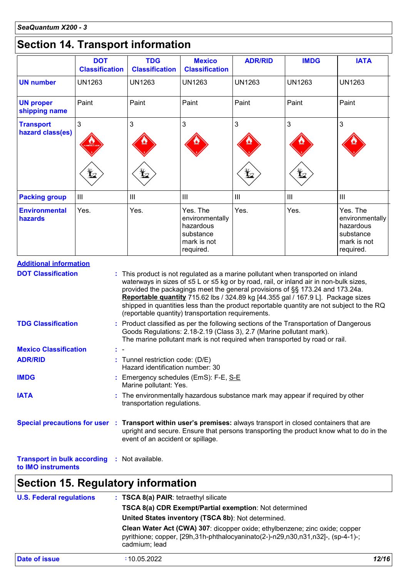### **Section 14. Transport information**

|                                                                                                                                                                                                 | <b>DOT</b><br><b>Classification</b> | <b>TDG</b><br><b>Classification</b>                                                                                                                                                                                                                                                                                          | <b>Mexico</b><br><b>Classification</b>                                            | <b>ADR/RID</b> | <b>IMDG</b>                                                                   | <b>IATA</b>                                                                             |
|-------------------------------------------------------------------------------------------------------------------------------------------------------------------------------------------------|-------------------------------------|------------------------------------------------------------------------------------------------------------------------------------------------------------------------------------------------------------------------------------------------------------------------------------------------------------------------------|-----------------------------------------------------------------------------------|----------------|-------------------------------------------------------------------------------|-----------------------------------------------------------------------------------------|
| <b>UN number</b>                                                                                                                                                                                | <b>UN1263</b>                       | <b>UN1263</b>                                                                                                                                                                                                                                                                                                                | <b>UN1263</b>                                                                     | <b>UN1263</b>  | <b>UN1263</b>                                                                 | <b>UN1263</b>                                                                           |
| <b>UN proper</b><br>shipping name                                                                                                                                                               | Paint                               | Paint                                                                                                                                                                                                                                                                                                                        | Paint                                                                             | Paint          | Paint                                                                         | Paint                                                                                   |
| <b>Transport</b><br>hazard class(es)                                                                                                                                                            | 3                                   | 3                                                                                                                                                                                                                                                                                                                            | 3                                                                                 | 3              | 3                                                                             | 3                                                                                       |
|                                                                                                                                                                                                 |                                     | L.                                                                                                                                                                                                                                                                                                                           |                                                                                   | L.             |                                                                               |                                                                                         |
| <b>Packing group</b>                                                                                                                                                                            | Ш                                   | III                                                                                                                                                                                                                                                                                                                          | III                                                                               | Ш              | Ш                                                                             | $\mathbf{III}$                                                                          |
| <b>Environmental</b><br>hazards                                                                                                                                                                 | Yes.                                | Yes.                                                                                                                                                                                                                                                                                                                         | Yes. The<br>environmentally<br>hazardous<br>substance<br>mark is not<br>required. | Yes.           | Yes.                                                                          | Yes. The<br>environmentally<br>hazardous<br>substance<br>mark is not<br>required.       |
| <b>TDG Classification</b>                                                                                                                                                                       |                                     |                                                                                                                                                                                                                                                                                                                              |                                                                                   |                |                                                                               |                                                                                         |
|                                                                                                                                                                                                 |                                     | Reportable quantity 715.62 lbs / 324.89 kg [44.355 gal / 167.9 L]. Package sizes<br>shipped in quantities less than the product reportable quantity are not subject to the RQ<br>(reportable quantity) transportation requirements.<br>: Product classified as per the following sections of the Transportation of Dangerous |                                                                                   |                | provided the packagings meet the general provisions of §§ 173.24 and 173.24a. |                                                                                         |
|                                                                                                                                                                                                 |                                     | Goods Regulations: 2.18-2.19 (Class 3), 2.7 (Marine pollutant mark).<br>The marine pollutant mark is not required when transported by road or rail.                                                                                                                                                                          |                                                                                   |                |                                                                               |                                                                                         |
|                                                                                                                                                                                                 |                                     | : Tunnel restriction code: (D/E)<br>Hazard identification number: 30                                                                                                                                                                                                                                                         |                                                                                   |                |                                                                               |                                                                                         |
|                                                                                                                                                                                                 |                                     | Emergency schedules (EmS): F-E, S-E                                                                                                                                                                                                                                                                                          |                                                                                   |                |                                                                               |                                                                                         |
|                                                                                                                                                                                                 |                                     | Marine pollutant: Yes.<br>: The environmentally hazardous substance mark may appear if required by other<br>transportation regulations.                                                                                                                                                                                      |                                                                                   |                |                                                                               |                                                                                         |
| <b>Mexico Classification</b><br><b>ADR/RID</b><br><b>IMDG</b><br><b>IATA</b><br>Special precautions for user : Transport within user's premises: always transport in closed containers that are |                                     | event of an accident or spillage.                                                                                                                                                                                                                                                                                            |                                                                                   |                |                                                                               | upright and secure. Ensure that persons transporting the product know what to do in the |

| <b>U.S. Federal regulations</b> | : TSCA 8(a) PAIR: tetraethyl silicate<br>TSCA 8(a) CDR Exempt/Partial exemption: Not determined<br>United States inventory (TSCA 8b): Not determined.                           |       |
|---------------------------------|---------------------------------------------------------------------------------------------------------------------------------------------------------------------------------|-------|
|                                 | Clean Water Act (CWA) 307: dicopper oxide; ethylbenzene; zinc oxide; copper<br>pyrithione; copper, [29h,31h-phthalocyaninato(2-)-n29,n30,n31,n32]-, (sp-4-1)-;<br>cadmium; lead |       |
| <b>Date of issue</b>            | :10.05.2022                                                                                                                                                                     | 12/16 |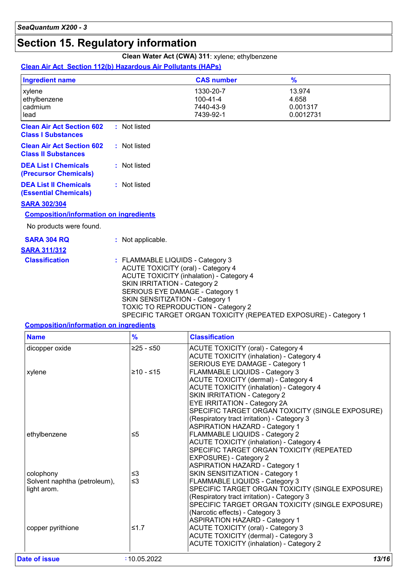### **Section 15. Regulatory information**

### **Clean Water Act (CWA) 311**: xylene; ethylbenzene

#### **Clean Air Act Section 112(b) Hazardous Air Pollutants (HAPs)**

| <b>Ingredient name</b>                                         |                                                                         | <b>CAS number</b>                                                                                                                                                                                        | $\frac{9}{6}$                                                   |
|----------------------------------------------------------------|-------------------------------------------------------------------------|----------------------------------------------------------------------------------------------------------------------------------------------------------------------------------------------------------|-----------------------------------------------------------------|
| xylene<br>ethylbenzene<br>cadmium<br>lead                      |                                                                         | 1330-20-7<br>$100 - 41 - 4$<br>7440-43-9<br>7439-92-1                                                                                                                                                    | 13.974<br>4.658<br>0.001317<br>0.0012731                        |
| <b>Clean Air Act Section 602</b><br><b>Class I Substances</b>  | : Not listed                                                            |                                                                                                                                                                                                          |                                                                 |
| <b>Clean Air Act Section 602</b><br><b>Class II Substances</b> | : Not listed                                                            |                                                                                                                                                                                                          |                                                                 |
| <b>DEA List I Chemicals</b><br>(Precursor Chemicals)           | : Not listed                                                            |                                                                                                                                                                                                          |                                                                 |
| <b>DEA List II Chemicals</b><br><b>(Essential Chemicals)</b>   | : Not listed                                                            |                                                                                                                                                                                                          |                                                                 |
| <b>SARA 302/304</b>                                            |                                                                         |                                                                                                                                                                                                          |                                                                 |
| <b>Composition/information on ingredients</b>                  |                                                                         |                                                                                                                                                                                                          |                                                                 |
| No products were found.                                        |                                                                         |                                                                                                                                                                                                          |                                                                 |
| <b>SARA 304 RQ</b>                                             | : Not applicable.                                                       |                                                                                                                                                                                                          |                                                                 |
| <b>SARA 311/312</b>                                            |                                                                         |                                                                                                                                                                                                          |                                                                 |
| <b>Classification</b>                                          | : FLAMMABLE LIQUIDS - Category 3<br><b>SKIN IRRITATION - Category 2</b> | <b>ACUTE TOXICITY (oral) - Category 4</b><br><b>ACUTE TOXICITY (inhalation) - Category 4</b><br>SERIOUS EYE DAMAGE - Category 1<br>SKIN SENSITIZATION - Category 1<br>TOXIC TO REPRODUCTION - Category 2 | SPECIFIC TARGET ORGAN TOXICITY (REPEATED EXPOSURE) - Category 1 |
|                                                                |                                                                         |                                                                                                                                                                                                          |                                                                 |

#### **Composition/information on ingredients**

| <b>Name</b>                  | $\frac{9}{6}$ | <b>Classification</b>                            |
|------------------------------|---------------|--------------------------------------------------|
| dicopper oxide               | $≥25 - ≤50$   | <b>ACUTE TOXICITY (oral) - Category 4</b>        |
|                              |               | <b>ACUTE TOXICITY (inhalation) - Category 4</b>  |
|                              |               | SERIOUS EYE DAMAGE - Category 1                  |
| xylene                       | $≥10 - ≤15$   | FLAMMABLE LIQUIDS - Category 3                   |
|                              |               | ACUTE TOXICITY (dermal) - Category 4             |
|                              |               | <b>ACUTE TOXICITY (inhalation) - Category 4</b>  |
|                              |               | <b>SKIN IRRITATION - Category 2</b>              |
|                              |               | EYE IRRITATION - Category 2A                     |
|                              |               | SPECIFIC TARGET ORGAN TOXICITY (SINGLE EXPOSURE) |
|                              |               | (Respiratory tract irritation) - Category 3      |
|                              |               | <b>ASPIRATION HAZARD - Category 1</b>            |
| ethylbenzene                 | $\leq 5$      | FLAMMABLE LIQUIDS - Category 2                   |
|                              |               | <b>ACUTE TOXICITY (inhalation) - Category 4</b>  |
|                              |               | SPECIFIC TARGET ORGAN TOXICITY (REPEATED         |
|                              |               | EXPOSURE) - Category 2                           |
|                              |               | <b>ASPIRATION HAZARD - Category 1</b>            |
| colophony                    | ≤3            | SKIN SENSITIZATION - Category 1                  |
| Solvent naphtha (petroleum), | $\leq$ 3      | FLAMMABLE LIQUIDS - Category 3                   |
| light arom.                  |               | SPECIFIC TARGET ORGAN TOXICITY (SINGLE EXPOSURE) |
|                              |               | (Respiratory tract irritation) - Category 3      |
|                              |               | SPECIFIC TARGET ORGAN TOXICITY (SINGLE EXPOSURE) |
|                              |               | (Narcotic effects) - Category 3                  |
|                              |               | <b>ASPIRATION HAZARD - Category 1</b>            |
| copper pyrithione            | ≤1.7          | <b>ACUTE TOXICITY (oral) - Category 3</b>        |
|                              |               | ACUTE TOXICITY (dermal) - Category 3             |
|                              |               | <b>ACUTE TOXICITY (inhalation) - Category 2</b>  |
| Date of issue                | :10.05.2022   | 13/16                                            |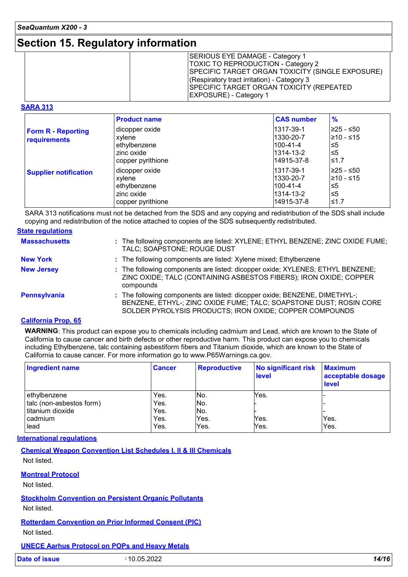### **Section 15. Regulatory information**

| <b>TOXIC TO REPRODUCTION - Category 2</b><br><b>SPECIFIC TARGET ORGAN TOXICITY (SINGLE EXPOSURE)</b><br>(Respiratory tract irritation) - Category 3<br><b>SPECIFIC TARGET ORGAN TOXICITY (REPEATED)</b><br><b>EXPOSURE)</b> - Category 1 |
|------------------------------------------------------------------------------------------------------------------------------------------------------------------------------------------------------------------------------------------|
|------------------------------------------------------------------------------------------------------------------------------------------------------------------------------------------------------------------------------------------|

#### **SARA 313**

|                                           | <b>Product name</b>                                                         | <b>CAS number</b>                                              | $\frac{9}{6}$                                 |
|-------------------------------------------|-----------------------------------------------------------------------------|----------------------------------------------------------------|-----------------------------------------------|
| <b>Form R - Reporting</b><br>requirements | dicopper oxide<br>xylene<br>ethylbenzene<br>zinc oxide<br>copper pyrithione | 1317-39-1<br>1330-20-7<br>l100-41-4<br>1314-13-2<br>14915-37-8 | ≥25 - ≤50<br>l≥10 - ≤15<br>≤5<br>l≤5<br>l≤1.7 |
| <b>Supplier notification</b>              | dicopper oxide<br>xylene<br>ethylbenzene<br>zinc oxide<br>copper pyrithione | 1317-39-1<br>1330-20-7<br>l100-41-4<br>1314-13-2<br>14915-37-8 | l≥25 - ≤50<br>l≥10 - ≤15<br>≤5<br>≤5<br>l≤1.7 |

SARA 313 notifications must not be detached from the SDS and any copying and redistribution of the SDS shall include copying and redistribution of the notice attached to copies of the SDS subsequently redistributed.

| <b>State regulations</b> |                                                                                                                                                                                                             |
|--------------------------|-------------------------------------------------------------------------------------------------------------------------------------------------------------------------------------------------------------|
| <b>Massachusetts</b>     | : The following components are listed: XYLENE; ETHYL BENZENE; ZINC OXIDE FUME;<br>TALC; SOAPSTONE; ROUGE DUST                                                                                               |
| <b>New York</b>          | : The following components are listed: Xylene mixed; Ethylbenzene                                                                                                                                           |
| <b>New Jersey</b>        | : The following components are listed: dicopper oxide; XYLENES; ETHYL BENZENE;<br>ZINC OXIDE; TALC (CONTAINING ASBESTOS FIBERS); IRON OXIDE; COPPER<br>compounds                                            |
| Pennsylvania             | : The following components are listed: dicopper oxide; BENZENE, DIMETHYL-;<br>BENZENE, ETHYL-; ZINC OXIDE FUME; TALC; SOAPSTONE DUST; ROSIN CORE<br>SOLDER PYROLYSIS PRODUCTS; IRON OXIDE; COPPER COMPOUNDS |

#### **California Prop. 65**

**WARNING**: This product can expose you to chemicals including cadmium and Lead, which are known to the State of California to cause cancer and birth defects or other reproductive harm. This product can expose you to chemicals including Ethylbenzene, talc containing asbestiform fibers and Titanium dioxide, which are known to the State of California to cause cancer. For more information go to www.P65Warnings.ca.gov.

| <b>Ingredient name</b>   | <b>Cancer</b> | <b>Reproductive</b> | <b>No significant risk</b><br>level | <b>Maximum</b><br>acceptable dosage<br>level |
|--------------------------|---------------|---------------------|-------------------------------------|----------------------------------------------|
| ethylbenzene             | Yes.          | No.                 | Yes.                                |                                              |
| talc (non-asbestos form) | Yes.          | No.                 |                                     |                                              |
| titanium dioxide         | Yes.          | No.                 |                                     |                                              |
| cadmium                  | Yes.          | Yes.                | Yes.                                | Yes.                                         |
| lead                     | Yes.          | Yes.                | Yes.                                | Yes.                                         |

#### **International regulations**

**Chemical Weapon Convention List Schedules I, II & III Chemicals**

Not listed.

#### **Montreal Protocol**

Not listed.

**Stockholm Convention on Persistent Organic Pollutants**

Not listed.

**Rotterdam Convention on Prior Informed Consent (PIC)** Not listed.

#### **UNECE Aarhus Protocol on POPs and Heavy Metals**

| <b>Date of issue</b> | 10.05.2022 | 14/16 |
|----------------------|------------|-------|
|                      |            |       |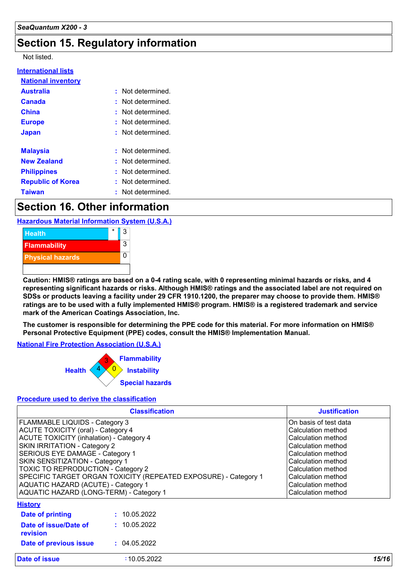### **Section 15. Regulatory information**

#### Not listed.

| : Not determined       |
|------------------------|
| : Not determined       |
| : Not determined.      |
| : Not determined.      |
| : Not determined.      |
|                        |
| $:$ Not determined $:$ |
| : Not determined       |
| : Not determined.      |
| : Not determined.      |
| : Not determined       |
|                        |

### **Section 16. Other information**

**Hazardous Material Information System (U.S.A.)**



**Caution: HMIS® ratings are based on a 0-4 rating scale, with 0 representing minimal hazards or risks, and 4 representing significant hazards or risks. Although HMIS® ratings and the associated label are not required on SDSs or products leaving a facility under 29 CFR 1910.1200, the preparer may choose to provide them. HMIS® ratings are to be used with a fully implemented HMIS® program. HMIS® is a registered trademark and service mark of the American Coatings Association, Inc.**

**The customer is responsible for determining the PPE code for this material. For more information on HMIS® Personal Protective Equipment (PPE) codes, consult the HMIS® Implementation Manual.**

#### **National Fire Protection Association (U.S.A.)**



#### **Procedure used to derive the classification**

|                                                                                                                                                                                                                                                                                                                                                                                                                                               | <b>Classification</b> | <b>Justification</b>                                                                                                                                                                                                        |
|-----------------------------------------------------------------------------------------------------------------------------------------------------------------------------------------------------------------------------------------------------------------------------------------------------------------------------------------------------------------------------------------------------------------------------------------------|-----------------------|-----------------------------------------------------------------------------------------------------------------------------------------------------------------------------------------------------------------------------|
| <b>FLAMMABLE LIQUIDS - Category 3</b><br><b>ACUTE TOXICITY (oral) - Category 4</b><br><b>ACUTE TOXICITY (inhalation) - Category 4</b><br>SKIN IRRITATION - Category 2<br>SERIOUS EYE DAMAGE - Category 1<br>SKIN SENSITIZATION - Category 1<br><b>TOXIC TO REPRODUCTION - Category 2</b><br>SPECIFIC TARGET ORGAN TOXICITY (REPEATED EXPOSURE) - Category 1<br>AQUATIC HAZARD (ACUTE) - Category 1<br>AQUATIC HAZARD (LONG-TERM) - Category 1 |                       | On basis of test data<br>Calculation method<br>Calculation method<br>Calculation method<br>Calculation method<br>Calculation method<br>Calculation method<br>Calculation method<br>Calculation method<br>Calculation method |
| <b>History</b>                                                                                                                                                                                                                                                                                                                                                                                                                                |                       |                                                                                                                                                                                                                             |
| Date of printing                                                                                                                                                                                                                                                                                                                                                                                                                              | : 10.05.2022          |                                                                                                                                                                                                                             |
| Date of issue/Date of<br>revision                                                                                                                                                                                                                                                                                                                                                                                                             | : 10.05.2022          |                                                                                                                                                                                                                             |
| Date of previous issue                                                                                                                                                                                                                                                                                                                                                                                                                        | : 04.05.2022          |                                                                                                                                                                                                                             |
| Date of issue                                                                                                                                                                                                                                                                                                                                                                                                                                 | :10.05.2022           | 15/16                                                                                                                                                                                                                       |